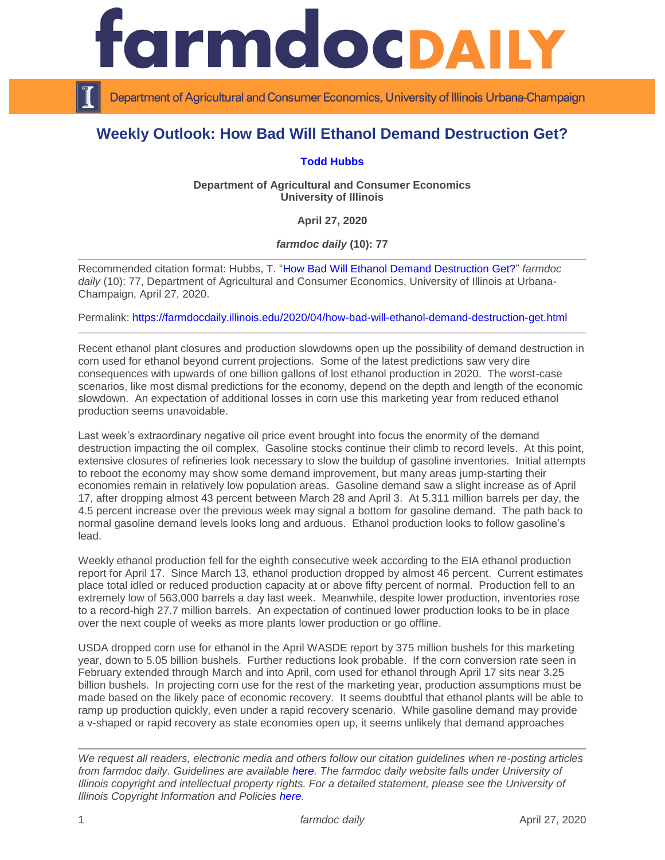

Department of Agricultural and Consumer Economics, University of Illinois Urbana-Champaign

## **Weekly Outlook: How Bad Will Ethanol Demand Destruction Get?**

## **[Todd Hubbs](https://ace.illinois.edu/directory/jhubbs3)**

**Department of Agricultural and Consumer Economics University of Illinois**

**April 27, 2020**

*farmdoc daily* **(10): 77**

Recommended citation format: Hubbs, T. ["How Bad Will Ethanol Demand Destruction Get?"](https://farmdocdaily.illinois.edu/2020/04/how-bad-will-ethanol-demand-destruction-get.html) *farmdoc*  daily (10): 77, Department of Agricultural and Consumer Economics, University of Illinois at Urbana-Champaign, April 27, 2020.

Permalink:<https://farmdocdaily.illinois.edu/2020/04/how-bad-will-ethanol-demand-destruction-get.html>

Recent ethanol plant closures and production slowdowns open up the possibility of demand destruction in corn used for ethanol beyond current projections. Some of the latest predictions saw very dire consequences with upwards of one billion gallons of lost ethanol production in 2020. The worst-case scenarios, like most dismal predictions for the economy, depend on the depth and length of the economic slowdown. An expectation of additional losses in corn use this marketing year from reduced ethanol production seems unavoidable.

Last week's extraordinary negative oil price event brought into focus the enormity of the demand destruction impacting the oil complex. Gasoline stocks continue their climb to record levels. At this point, extensive closures of refineries look necessary to slow the buildup of gasoline inventories. Initial attempts to reboot the economy may show some demand improvement, but many areas jump-starting their economies remain in relatively low population areas. Gasoline demand saw a slight increase as of April 17, after dropping almost 43 percent between March 28 and April 3. At 5.311 million barrels per day, the 4.5 percent increase over the previous week may signal a bottom for gasoline demand. The path back to normal gasoline demand levels looks long and arduous. Ethanol production looks to follow gasoline's lead.

Weekly ethanol production fell for the eighth consecutive week according to the EIA ethanol production report for April 17. Since March 13, ethanol production dropped by almost 46 percent. Current estimates place total idled or reduced production capacity at or above fifty percent of normal. Production fell to an extremely low of 563,000 barrels a day last week. Meanwhile, despite lower production, inventories rose to a record-high 27.7 million barrels. An expectation of continued lower production looks to be in place over the next couple of weeks as more plants lower production or go offline.

USDA dropped corn use for ethanol in the April WASDE report by 375 million bushels for this marketing year, down to 5.05 billion bushels. Further reductions look probable. If the corn conversion rate seen in February extended through March and into April, corn used for ethanol through April 17 sits near 3.25 billion bushels. In projecting corn use for the rest of the marketing year, production assumptions must be made based on the likely pace of economic recovery. It seems doubtful that ethanol plants will be able to ramp up production quickly, even under a rapid recovery scenario. While gasoline demand may provide a v-shaped or rapid recovery as state economies open up, it seems unlikely that demand approaches

*We request all readers, electronic media and others follow our citation guidelines when re-posting articles from farmdoc daily. Guidelines are available [here.](http://farmdocdaily.illinois.edu/citationguide.html) The farmdoc daily website falls under University of Illinois copyright and intellectual property rights. For a detailed statement, please see the University of Illinois Copyright Information and Policies [here.](http://www.cio.illinois.edu/policies/copyright/)*